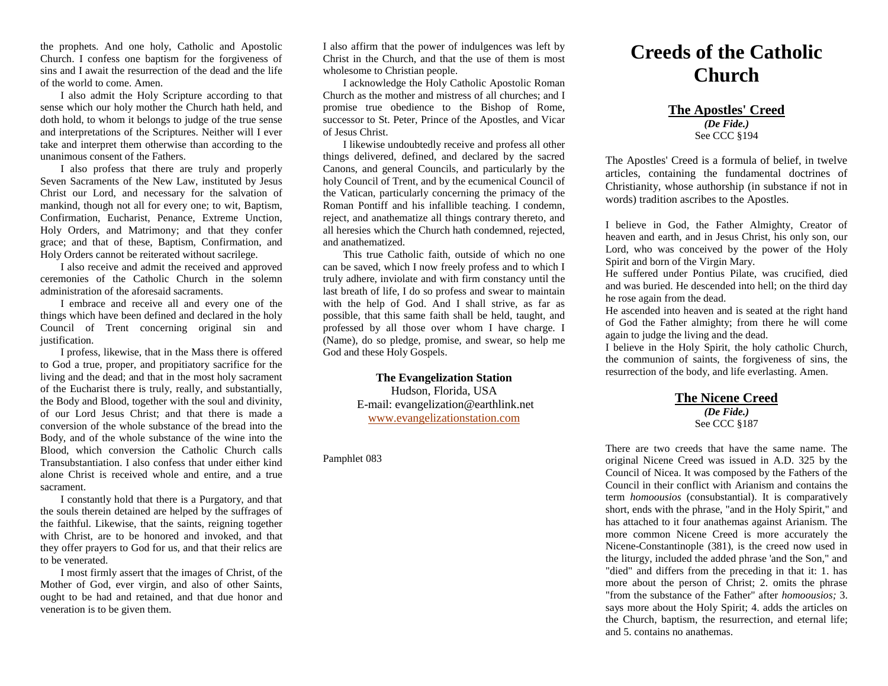the prophets. And one holy, Catholic and Apostolic Church. I confess one baptism for the forgiveness of sins and I await the resurrection of the dead and the life of the world to come. Amen.

I also admit the Holy Scripture according to that sense which our holy mother the Church hath held, and doth hold, to whom it belongs to judge of the true sense and interpretations of the Scriptures. Neither will I ever take and interpret them otherwise than according to the unanimous consent of the Fathers.

I also profess that there are truly and properly Seven Sacraments of the New Law, instituted by Jesus Christ our Lord, and necessary for the salvation of mankind, though not all for every one; to wit, Baptism, Confirmation, Eucharist, Penance, Extreme Unction, Holy Orders, and Matrimony; and that they confer grace; and that of these, Baptism, Confirmation, and Holy Orders cannot be reiterated without sacrilege.

I also receive and admit the received and approved ceremonies of the Catholic Church in the solemn administration of the aforesaid sacraments.

I embrace and receive all and every one of the things which have been defined and declared in the holy Council of Trent concerning original sin and justification.

I profess, likewise, that in the Mass there is offered to God a true, proper, and propitiatory sacrifice for the living and the dead; and that in the most holy sacrament of the Eucharist there is truly, really, and substantially, the Body and Blood, together with the soul and divinity, of our Lord Jesus Christ; and that there is made a conversion of the whole substance of the bread into the Body, and of the whole substance of the wine into the Blood, which conversion the Catholic Church calls Transubstantiation. I also confess that under either kind alone Christ is received whole and entire, and a true sacrament.

I constantly hold that there is a Purgatory, and that the souls therein detained are helped by the suffrages of the faithful. Likewise, that the saints, reigning together with Christ, are to be honored and invoked, and that they offer prayers to God for us, and that their relics are to be venerated.

I most firmly assert that the images of Christ, of the Mother of God, ever virgin, and also of other Saints, ought to be had and retained, and that due honor and veneration is to be given them.

I also affirm that the power of indulgences was left by Christ in the Church, and that the use of them is most wholesome to Christian people.

I acknowledge the Holy Catholic Apostolic Roman Church as the mother and mistress of all churches; and I promise true obedience to the Bishop of Rome, successor to St. Peter, Prince of the Apostles, and Vicar of Jesus Christ.

I likewise undoubtedly receive and profess all other things delivered, defined, and declared by the sacred Canons, and general Councils, and particularly by the holy Council of Trent, and by the ecumenical Council of the Vatican, particularly concerning the primacy of the Roman Pontiff and his infallible teaching. I condemn, reject, and anathematize all things contrary thereto, and all heresies which the Church hath condemned, rejected, and anathematized.

This true Catholic faith, outside of which no one can be saved, which I now freely profess and to which I truly adhere, inviolate and with firm constancy until the last breath of life, I do so profess and swear to maintain with the help of God. And I shall strive, as far as possible, that this same faith shall be held, taught, and professed by all those over whom I have charge. I (Name), do so pledge, promise, and swear, so help me God and these Holy Gospels.

> **The Evangelization Station** Hudson, Florida, USA E-mail: evangelization@earthlink.net [www.evangelizationstation.com](http://www.pjpiisoe.org/)

## Pamphlet 083

# **Creeds of the Catholic Church**

**The Apostles' Creed** *(De Fide.)* See CCC §194

The Apostles' Creed is a formula of belief, in twelve articles, containing the fundamental doctrines of Christianity, whose authorship (in substance if not in words) tradition ascribes to the Apostles.

I believe in God, the Father Almighty, Creator of heaven and earth, and in Jesus Christ, his only son, our Lord, who was conceived by the power of the Holy Spirit and born of the Virgin Mary.

He suffered under Pontius Pilate, was crucified, died and was buried. He descended into hell; on the third day he rose again from the dead.

He ascended into heaven and is seated at the right hand of God the Father almighty; from there he will come again to judge the living and the dead.

I believe in the Holy Spirit, the holy catholic Church, the communion of saints, the forgiveness of sins, the resurrection of the body, and life everlasting. Amen.

#### **The Nicene Creed** *(De Fide.)* See CCC §187

There are two creeds that have the same name. The original Nicene Creed was issued in A.D. 325 by the Council of Nicea. It was composed by the Fathers of the Council in their conflict with Arianism and contains the term *homoousios* (consubstantial). It is comparatively short, ends with the phrase, "and in the Holy Spirit," and has attached to it four anathemas against Arianism. The more common Nicene Creed is more accurately the Nicene-Constantinople (381), is the creed now used in the liturgy, included the added phrase 'and the Son," and "died" and differs from the preceding in that it: 1. has more about the person of Christ; 2. omits the phrase "from the substance of the Father" after *homoousios;* 3. says more about the Holy Spirit; 4. adds the articles on the Church, baptism, the resurrection, and eternal life; and 5. contains no anathemas.